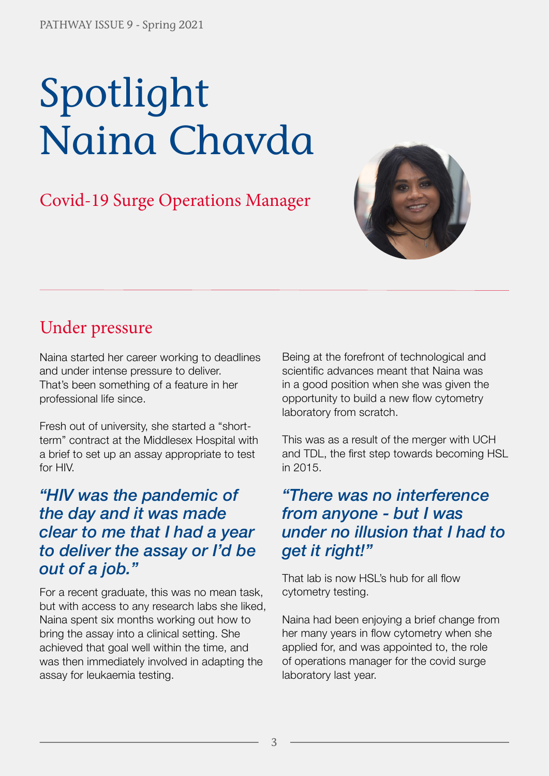# Spotlight Naina Chavda

## Covid-19 Surge Operations Manager



## Under pressure

Naina started her career working to deadlines and under intense pressure to deliver. That's been something of a feature in her professional life since.

Fresh out of university, she started a "shortterm" contract at the Middlesex Hospital with a brief to set up an assay appropriate to test for HIV.

#### *"HIV was the pandemic of the day and it was made clear to me that I had a year to deliver the assay or I'd be out of a job."*

For a recent graduate, this was no mean task, but with access to any research labs she liked, Naina spent six months working out how to bring the assay into a clinical setting. She achieved that goal well within the time, and was then immediately involved in adapting the assay for leukaemia testing.

Being at the forefront of technological and scientific advances meant that Naina was in a good position when she was given the opportunity to build a new flow cytometry laboratory from scratch.

This was as a result of the merger with UCH and TDL, the first step towards becoming HSL in 2015.

#### *"There was no interference from anyone - but I was under no illusion that I had to get it right!"*

That lab is now HSL's hub for all flow cytometry testing.

Naina had been enjoying a brief change from her many years in flow cytometry when she applied for, and was appointed to, the role of operations manager for the covid surge laboratory last year.